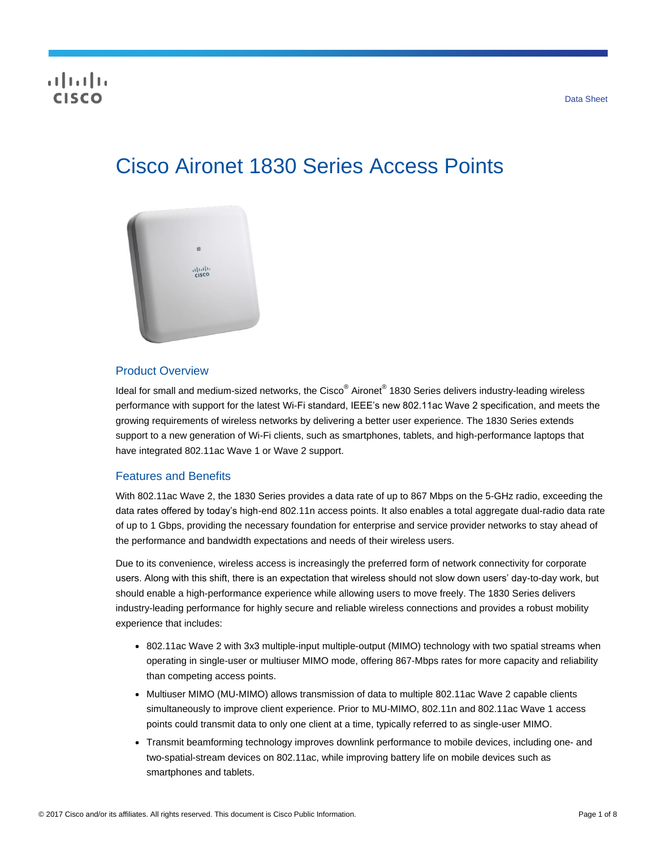# CISCO

# Cisco Aironet 1830 Series Access Points



#### Product Overview

ldeal for small and medium-sized networks, the Cisco® Aironet® 1830 Series delivers industry-leading wireless performance with support for the latest Wi-Fi standard, IEEE's new 802.11ac Wave 2 specification, and meets the growing requirements of wireless networks by delivering a better user experience. The 1830 Series extends support to a new generation of Wi-Fi clients, such as smartphones, tablets, and high-performance laptops that have integrated 802.11ac Wave 1 or Wave 2 support.

#### Features and Benefits

With 802.11ac Wave 2, the 1830 Series provides a data rate of up to 867 Mbps on the 5-GHz radio, exceeding the data rates offered by today's high-end 802.11n access points. It also enables a total aggregate dual-radio data rate of up to 1 Gbps, providing the necessary foundation for enterprise and service provider networks to stay ahead of the performance and bandwidth expectations and needs of their wireless users.

Due to its convenience, wireless access is increasingly the preferred form of network connectivity for corporate users. Along with this shift, there is an expectation that wireless should not slow down users' day-to-day work, but should enable a high-performance experience while allowing users to move freely. The 1830 Series delivers industry-leading performance for highly secure and reliable wireless connections and provides a robust mobility experience that includes:

- 802.11ac Wave 2 with 3x3 multiple-input multiple-output (MIMO) technology with two spatial streams when operating in single-user or multiuser MIMO mode, offering 867-Mbps rates for more capacity and reliability than competing access points.
- Multiuser MIMO (MU-MIMO) allows transmission of data to multiple 802.11ac Wave 2 capable clients simultaneously to improve client experience. Prior to MU-MIMO, 802.11n and 802.11ac Wave 1 access points could transmit data to only one client at a time, typically referred to as single-user MIMO.
- Transmit beamforming technology improves downlink performance to mobile devices, including one- and two-spatial-stream devices on 802.11ac, while improving battery life on mobile devices such as smartphones and tablets.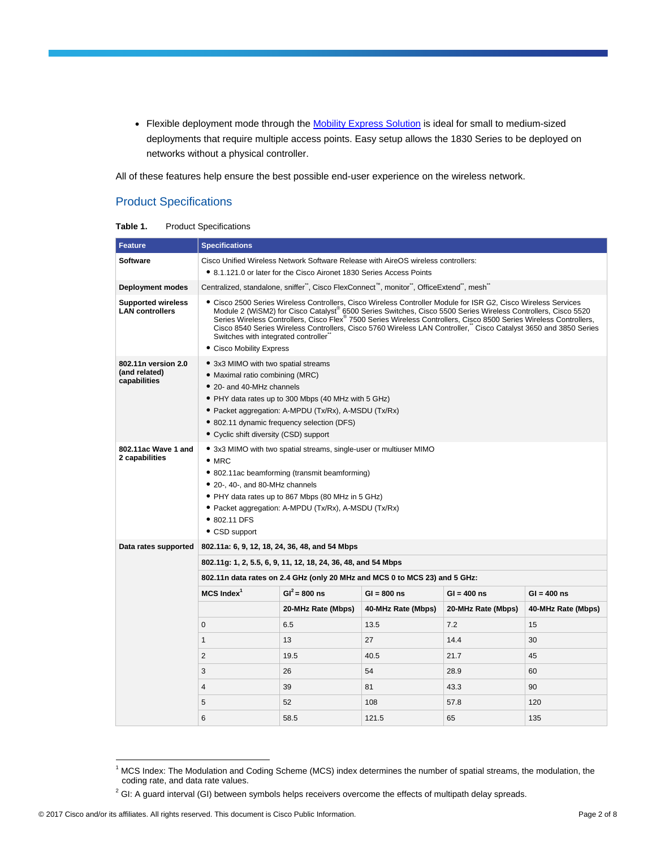• Flexible deployment mode through the [Mobility Express Solution](http://www.cisco.com/go/mobilityexpress) is ideal for small to medium-sized deployments that require multiple access points. Easy setup allows the 1830 Series to be deployed on networks without a physical controller.

All of these features help ensure the best possible end-user experience on the wireless network.

# Product Specifications

| Table 1. | <b>Product Specifications</b> |
|----------|-------------------------------|
|----------|-------------------------------|

| <b>Feature</b>                                       | <b>Specifications</b>                                                                                                                                                                                                                                                                                                                                                                                                                                                                                                                                 |                                                                                                                                                                                                                                                                                                            |                                                                                       |                    |                    |  |  |
|------------------------------------------------------|-------------------------------------------------------------------------------------------------------------------------------------------------------------------------------------------------------------------------------------------------------------------------------------------------------------------------------------------------------------------------------------------------------------------------------------------------------------------------------------------------------------------------------------------------------|------------------------------------------------------------------------------------------------------------------------------------------------------------------------------------------------------------------------------------------------------------------------------------------------------------|---------------------------------------------------------------------------------------|--------------------|--------------------|--|--|
| <b>Software</b>                                      | Cisco Unified Wireless Network Software Release with AireOS wireless controllers:                                                                                                                                                                                                                                                                                                                                                                                                                                                                     |                                                                                                                                                                                                                                                                                                            |                                                                                       |                    |                    |  |  |
|                                                      | • 8.1.121.0 or later for the Cisco Aironet 1830 Series Access Points                                                                                                                                                                                                                                                                                                                                                                                                                                                                                  |                                                                                                                                                                                                                                                                                                            |                                                                                       |                    |                    |  |  |
| Deployment modes                                     |                                                                                                                                                                                                                                                                                                                                                                                                                                                                                                                                                       |                                                                                                                                                                                                                                                                                                            | Centralized, standalone, sniffer", Cisco FlexConnect™, monitor", OfficeExtend", mesh" |                    |                    |  |  |
| <b>Supported wireless</b><br><b>LAN controllers</b>  | Cisco 2500 Series Wireless Controllers, Cisco Wireless Controller Module for ISR G2, Cisco Wireless Services<br>Module 2 (WiSM2) for Cisco Catalyst® 6500 Series Switches, Cisco 5500 Series Wireless Controllers, Cisco 5520<br>Series Wireless Controllers, Cisco Flex <sup>®</sup> 7500 Series Wireless Controllers, Cisco 8500 Series Wireless Controllers,<br>Cisco 8540 Series Wireless Controllers, Cisco 5760 Wireless LAN Controller, Cisco Catalyst 3650 and 3850 Series<br>Switches with integrated controller<br>• Cisco Mobility Express |                                                                                                                                                                                                                                                                                                            |                                                                                       |                    |                    |  |  |
| 802.11n version 2.0<br>(and related)<br>capabilities |                                                                                                                                                                                                                                                                                                                                                                                                                                                                                                                                                       | • 3x3 MIMO with two spatial streams<br>• Maximal ratio combining (MRC)<br>• 20- and 40-MHz channels<br>• PHY data rates up to 300 Mbps (40 MHz with 5 GHz)<br>• Packet aggregation: A-MPDU (Tx/Rx), A-MSDU (Tx/Rx)<br>• 802.11 dynamic frequency selection (DFS)<br>• Cyclic shift diversity (CSD) support |                                                                                       |                    |                    |  |  |
| 802.11ac Wave 1 and<br>2 capabilities                | • 3x3 MIMO with two spatial streams, single-user or multiuser MIMO<br>$•$ MRC<br>• 802.11ac beamforming (transmit beamforming)<br>• 20-, 40-, and 80-MHz channels<br>• PHY data rates up to 867 Mbps (80 MHz in 5 GHz)<br>• Packet aggregation: A-MPDU (Tx/Rx), A-MSDU (Tx/Rx)<br>• 802.11 DFS<br>• CSD support                                                                                                                                                                                                                                       |                                                                                                                                                                                                                                                                                                            |                                                                                       |                    |                    |  |  |
| Data rates supported                                 | 802.11a: 6, 9, 12, 18, 24, 36, 48, and 54 Mbps                                                                                                                                                                                                                                                                                                                                                                                                                                                                                                        |                                                                                                                                                                                                                                                                                                            |                                                                                       |                    |                    |  |  |
|                                                      |                                                                                                                                                                                                                                                                                                                                                                                                                                                                                                                                                       | 802.11g: 1, 2, 5.5, 6, 9, 11, 12, 18, 24, 36, 48, and 54 Mbps                                                                                                                                                                                                                                              |                                                                                       |                    |                    |  |  |
|                                                      |                                                                                                                                                                                                                                                                                                                                                                                                                                                                                                                                                       |                                                                                                                                                                                                                                                                                                            | 802.11n data rates on 2.4 GHz (only 20 MHz and MCS 0 to MCS 23) and 5 GHz:            |                    |                    |  |  |
|                                                      | $MCS$ Index <sup>1</sup><br>$GI^2 = 800$ ns<br>$GI = 800$ ns<br>$GI = 400$ ns<br>$GI = 400$ ns                                                                                                                                                                                                                                                                                                                                                                                                                                                        |                                                                                                                                                                                                                                                                                                            |                                                                                       |                    |                    |  |  |
|                                                      |                                                                                                                                                                                                                                                                                                                                                                                                                                                                                                                                                       | 20-MHz Rate (Mbps)                                                                                                                                                                                                                                                                                         | 40-MHz Rate (Mbps)                                                                    | 20-MHz Rate (Mbps) | 40-MHz Rate (Mbps) |  |  |
|                                                      | $\mathbf{0}$                                                                                                                                                                                                                                                                                                                                                                                                                                                                                                                                          | 6.5                                                                                                                                                                                                                                                                                                        | 13.5                                                                                  | 7.2                | 15                 |  |  |
|                                                      | $\mathbf{1}$                                                                                                                                                                                                                                                                                                                                                                                                                                                                                                                                          | 13                                                                                                                                                                                                                                                                                                         | 27                                                                                    | 14.4               | 30                 |  |  |
|                                                      | $\overline{2}$                                                                                                                                                                                                                                                                                                                                                                                                                                                                                                                                        | 19.5                                                                                                                                                                                                                                                                                                       | 40.5                                                                                  | 21.7               | 45                 |  |  |
|                                                      | 3                                                                                                                                                                                                                                                                                                                                                                                                                                                                                                                                                     | 26                                                                                                                                                                                                                                                                                                         | 54                                                                                    | 28.9               | 60                 |  |  |
|                                                      | 4                                                                                                                                                                                                                                                                                                                                                                                                                                                                                                                                                     | 39                                                                                                                                                                                                                                                                                                         | 81                                                                                    | 43.3               | 90                 |  |  |
|                                                      | 5                                                                                                                                                                                                                                                                                                                                                                                                                                                                                                                                                     | 52                                                                                                                                                                                                                                                                                                         | 108                                                                                   | 57.8               | 120                |  |  |
|                                                      | 6                                                                                                                                                                                                                                                                                                                                                                                                                                                                                                                                                     | 58.5                                                                                                                                                                                                                                                                                                       | 121.5                                                                                 | 65                 | 135                |  |  |

 $\overline{a}$ 

 $1$  MCS Index: The Modulation and Coding Scheme (MCS) index determines the number of spatial streams, the modulation, the coding rate, and data rate values.

 $2$  GI: A guard interval (GI) between symbols helps receivers overcome the effects of multipath delay spreads.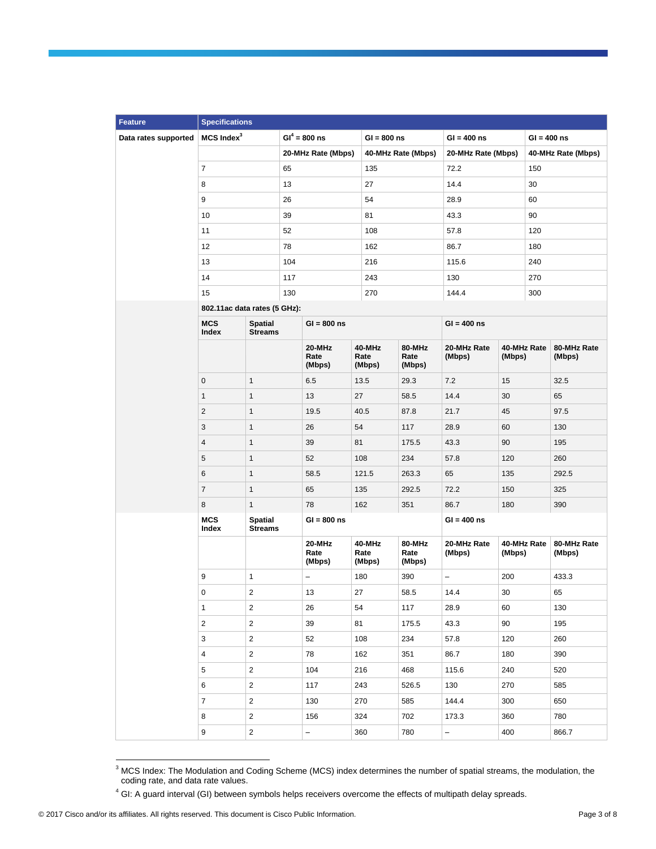| <b>Feature</b>       | <b>Specifications</b>        |                                  |     |                          |                          |                          |                       |                       |               |                       |
|----------------------|------------------------------|----------------------------------|-----|--------------------------|--------------------------|--------------------------|-----------------------|-----------------------|---------------|-----------------------|
| Data rates supported | $MCS$ Index $3$              |                                  |     | $GI^4 = 800$ ns          | $GI = 800$ ns            |                          | $GI = 400$ ns         |                       | $GI = 400$ ns |                       |
|                      |                              |                                  |     | 20-MHz Rate (Mbps)       | 40-MHz Rate (Mbps)       |                          | 20-MHz Rate (Mbps)    |                       |               | 40-MHz Rate (Mbps)    |
|                      | $\overline{7}$               | 65                               |     | 135                      |                          | 72.2                     |                       | 150                   |               |                       |
|                      | 8                            | 13                               |     |                          | 27                       |                          | 14.4                  |                       | 30            |                       |
|                      | 9                            |                                  | 26  |                          |                          |                          | 28.9                  |                       | 60            |                       |
|                      | 10                           |                                  | 39  |                          | 81                       |                          | 43.3                  |                       | 90            |                       |
|                      | 11                           |                                  | 52  |                          | 108                      |                          | 57.8                  |                       | 120           |                       |
|                      | 12                           |                                  | 78  |                          | 162                      |                          | 86.7                  |                       | 180           |                       |
|                      | 13                           |                                  | 104 |                          | 216                      |                          | 115.6                 |                       | 240           |                       |
|                      | 14                           |                                  | 117 |                          | 243                      |                          | 130                   |                       | 270           |                       |
|                      | 15                           |                                  | 130 |                          | 270                      |                          | 144.4                 |                       | 300           |                       |
|                      | 802.11ac data rates (5 GHz): |                                  |     |                          |                          |                          |                       |                       |               |                       |
|                      | <b>MCS</b><br>Index          | <b>Spatial</b><br><b>Streams</b> |     | $GI = 800$ ns            |                          |                          | $GI = 400$ ns         |                       |               |                       |
|                      |                              |                                  |     | 20-MHz<br>Rate<br>(Mbps) | 40-MHz<br>Rate<br>(Mbps) | 80-MHz<br>Rate<br>(Mbps) | 20-MHz Rate<br>(Mbps) | 40-MHz Rate<br>(Mbps) |               | 80-MHz Rate<br>(Mbps) |
|                      | $\mathbf 0$                  | $\mathbf{1}$                     |     | 6.5                      | 13.5                     | 29.3                     | 7.2                   | 15                    |               | 32.5                  |
|                      | $\mathbf{1}$                 | $\mathbf{1}$                     |     | 13                       | 27                       | 58.5                     | 14.4                  | 30                    |               | 65                    |
|                      | 2                            | $\mathbf{1}$                     |     | 19.5                     | 40.5                     | 87.8                     | 21.7                  | 45                    |               | 97.5                  |
|                      | 3                            | $\mathbf{1}$                     |     | 26                       | 54                       | 117                      | 28.9                  | 60                    |               | 130                   |
|                      | 4                            | $\mathbf{1}$                     |     | 39                       | 81                       | 175.5                    | 43.3                  | 90                    |               | 195                   |
|                      | 5                            | $\mathbf{1}$                     |     | 52                       | 108                      | 234                      | 57.8                  | 120                   |               | 260                   |
|                      | 6                            | $\mathbf{1}$                     |     | 58.5                     | 121.5                    | 263.3                    | 65                    | 135                   |               | 292.5                 |
|                      | $\overline{7}$               | $\mathbf{1}$                     |     | 65                       | 135                      | 292.5                    | 72.2                  | 150                   |               | 325                   |
|                      | 8                            | $\mathbf{1}$                     |     | 78                       | 162                      | 351                      | 86.7                  | 180                   |               | 390                   |
|                      | <b>MCS</b><br>Index          | Spatial<br><b>Streams</b>        |     | $GI = 800$ ns            |                          |                          | $GI = 400$ ns         |                       |               |                       |
|                      |                              |                                  |     | 20-MHz<br>Rate<br>(Mbps) | 40-MHz<br>Rate<br>(Mbps) | 80-MHz<br>Rate<br>(Mbps) | 20-MHz Rate<br>(Mbps) | (Mbps)                | 40-MHz Rate   | 80-MHz Rate<br>(Mbps) |
|                      | 9                            | 1                                |     | $\overline{\phantom{0}}$ | 180                      | 390                      | -                     | 200                   |               | 433.3                 |
|                      | 0                            | $\overline{2}$                   |     | 13                       | 27                       | 58.5                     | 14.4                  | $30\,$                |               | 65                    |
|                      | $\mathbf{1}$                 | $\overline{2}$                   |     | 26                       | 54                       | 117                      | 28.9                  | 60                    |               | 130                   |
|                      | $\overline{2}$               | $\overline{2}$                   |     | 39                       | 81                       | 175.5                    | 43.3                  | 90                    |               | 195                   |
|                      | 3                            | $\overline{2}$                   |     | 52                       | 108                      | 234                      | 57.8                  | 120                   |               | 260                   |
|                      | $\overline{4}$               | $\overline{2}$                   |     | 78                       | 162                      | 351                      | 86.7                  | 180                   |               | 390                   |
|                      | $5\phantom{.0}$              | $\mathbf{2}$                     |     | 104                      | 216                      | 468                      | 115.6                 | 240                   |               | 520                   |
|                      | 6                            | $\mathbf{2}$                     |     | 117                      | 243                      | 526.5                    | 130                   | 270                   |               | 585                   |
|                      | $\overline{7}$               | $\mathbf{2}$                     |     | 130                      | 270                      | 585                      | 144.4                 | 300                   |               | 650                   |
|                      | 8                            | $\overline{a}$                   |     | 156                      | 324                      | 702                      | 173.3                 | 360                   |               | 780                   |
|                      | 9                            | $\mathbf{2}$                     |     | $\equiv$                 | 360                      | 780                      | $\frac{1}{2}$         | 400                   |               | 866.7                 |

 $3$  MCS Index: The Modulation and Coding Scheme (MCS) index determines the number of spatial streams, the modulation, the coding rate, and data rate values.

 $\overline{a}$ 

<sup>4</sup> GI: A guard interval (GI) between symbols helps receivers overcome the effects of multipath delay spreads.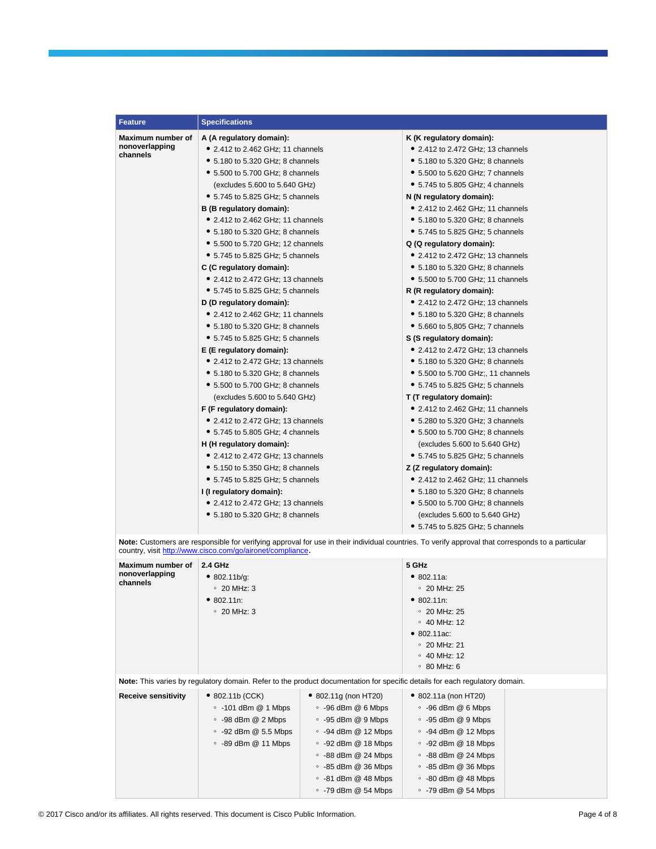| <b>Feature</b>             | <b>Specifications</b>                                      |                                                                                                                                                   |
|----------------------------|------------------------------------------------------------|---------------------------------------------------------------------------------------------------------------------------------------------------|
| Maximum number of          | A (A regulatory domain):                                   | K (K regulatory domain):                                                                                                                          |
| nonoverlapping<br>channels | • 2.412 to 2.462 GHz; 11 channels                          | • 2.412 to 2.472 GHz; 13 channels                                                                                                                 |
|                            | • 5.180 to 5.320 GHz; 8 channels                           | • 5.180 to 5.320 GHz; 8 channels                                                                                                                  |
|                            | • 5.500 to 5.700 GHz; 8 channels                           | • 5.500 to 5.620 GHz; 7 channels                                                                                                                  |
|                            | (excludes 5.600 to 5.640 GHz)                              | • 5.745 to 5.805 GHz; 4 channels                                                                                                                  |
|                            | • 5.745 to 5.825 GHz; 5 channels                           | N (N regulatory domain):                                                                                                                          |
|                            | B (B regulatory domain):                                   | • 2.412 to 2.462 GHz; 11 channels                                                                                                                 |
|                            | • 2.412 to 2.462 GHz; 11 channels                          | • 5.180 to 5.320 GHz; 8 channels                                                                                                                  |
|                            | • 5.180 to 5.320 GHz; 8 channels                           | • 5.745 to 5.825 GHz; 5 channels                                                                                                                  |
|                            | • 5.500 to 5.720 GHz; 12 channels                          | Q (Q regulatory domain):                                                                                                                          |
|                            | • 5.745 to 5.825 GHz; 5 channels                           | • 2.412 to 2.472 GHz; 13 channels                                                                                                                 |
|                            | C (C regulatory domain):                                   | • 5.180 to 5.320 GHz; 8 channels                                                                                                                  |
|                            | • 2.412 to 2.472 GHz; 13 channels                          | • 5.500 to 5.700 GHz; 11 channels                                                                                                                 |
|                            | • 5.745 to 5.825 GHz; 5 channels                           | R (R regulatory domain):                                                                                                                          |
|                            | D (D regulatory domain):                                   | • 2.412 to 2.472 GHz; 13 channels                                                                                                                 |
|                            | • 2.412 to 2.462 GHz; 11 channels                          | • 5.180 to 5.320 GHz; 8 channels                                                                                                                  |
|                            | • 5.180 to 5.320 GHz; 8 channels                           | • 5.660 to 5,805 GHz; 7 channels                                                                                                                  |
|                            | • 5.745 to 5.825 GHz; 5 channels                           | S (S regulatory domain):                                                                                                                          |
|                            | E (E regulatory domain):                                   | • 2.412 to 2.472 GHz; 13 channels                                                                                                                 |
|                            | • 2.412 to 2.472 GHz; 13 channels                          | • 5.180 to 5.320 GHz; 8 channels                                                                                                                  |
|                            | • 5.180 to 5.320 GHz; 8 channels                           | • 5.500 to 5.700 GHz;, 11 channels                                                                                                                |
|                            | • 5.500 to 5.700 GHz; 8 channels                           | • 5.745 to 5.825 GHz; 5 channels                                                                                                                  |
|                            | (excludes 5.600 to 5.640 GHz)                              | T (T regulatory domain):                                                                                                                          |
|                            | F (F regulatory domain):                                   | • 2.412 to 2.462 GHz; 11 channels                                                                                                                 |
|                            | • 2.412 to 2.472 GHz; 13 channels                          | $\bullet$ 5.280 to 5.320 GHz; 3 channels                                                                                                          |
|                            | • 5.745 to 5.805 GHz; 4 channels                           | • 5.500 to 5.700 GHz; 8 channels                                                                                                                  |
|                            | H (H regulatory domain):                                   | (excludes 5.600 to 5.640 GHz)                                                                                                                     |
|                            | • 2.412 to 2.472 GHz; 13 channels                          | • 5.745 to 5.825 GHz; 5 channels                                                                                                                  |
|                            | • 5.150 to 5.350 GHz; 8 channels                           | Z (Z regulatory domain):                                                                                                                          |
|                            | • 5.745 to 5.825 GHz; 5 channels                           | • 2.412 to 2.462 GHz; 11 channels                                                                                                                 |
|                            | I (I regulatory domain):                                   | • 5.180 to 5.320 GHz; 8 channels                                                                                                                  |
|                            | • 2.412 to 2.472 GHz; 13 channels                          | • 5.500 to 5.700 GHz; 8 channels                                                                                                                  |
|                            | • 5.180 to 5.320 GHz; 8 channels                           | (excludes 5.600 to 5.640 GHz)                                                                                                                     |
|                            |                                                            | $\bullet$ 5.745 to 5.825 GHz; 5 channels                                                                                                          |
|                            | country, visit http://www.cisco.com/go/aironet/compliance. | Note: Customers are responsible for verifying approval for use in their individual countries. To verify approval that corresponds to a particular |

| Maximum number of<br>nonoverlapping<br>channels | 2.4 GHz<br>• 802.11b/q:<br>$\degree$ 20 MHz: 3<br>• 802.11n:<br>$\circ$ 20 MHz: 3                                                                     |                                                                                                                                                                                                                                                                                      | 5 GHz<br>• 802.11a:<br>$\degree$ 20 MHz: 25<br>$\bullet$ 802.11n:<br>$\degree$ 20 MHz: 25<br>$\circ$ 40 MHz: 12<br>$\bullet$ 802.11ac:<br>$\circ$ 20 MHz: 21<br>$\circ$ 40 MHz: 12<br>$\circ$ 80 MHz: 6                                                                    |  |
|-------------------------------------------------|-------------------------------------------------------------------------------------------------------------------------------------------------------|--------------------------------------------------------------------------------------------------------------------------------------------------------------------------------------------------------------------------------------------------------------------------------------|----------------------------------------------------------------------------------------------------------------------------------------------------------------------------------------------------------------------------------------------------------------------------|--|
|                                                 |                                                                                                                                                       |                                                                                                                                                                                                                                                                                      | Note: This varies by regulatory domain. Refer to the product documentation for specific details for each regulatory domain.                                                                                                                                                |  |
| <b>Receive sensitivity</b>                      | $\bullet$ 802.11b (CCK)<br>$\degree$ -101 dBm @ 1 Mbps<br>$\degree$ -98 dBm @ 2 Mbps<br>$\degree$ -92 dBm @ 5.5 Mbps<br>$\degree$ -89 dBm $@$ 11 Mbps | $\bullet$ 802.11g (non HT20)<br>$\degree$ -96 dBm @ 6 Mbps<br>$\degree$ -95 dBm @ 9 Mbps<br>$\circ$ -94 dBm $@$ 12 Mbps<br>$\degree$ -92 dBm @ 18 Mbps<br>$\degree$ -88 dBm @ 24 Mbps<br>$\degree$ -85 dBm @ 36 Mbps<br>$\degree$ -81 dBm @ 48 Mbps<br>$\degree$ -79 dBm $@$ 54 Mbps | • 802.11a (non HT20)<br>$\degree$ -96 dBm @ 6 Mbps<br>$\degree$ -95 dBm @ 9 Mbps<br>$\circ$ -94 dBm @ 12 Mbps<br>$\degree$ -92 dBm @ 18 Mbps<br>$\degree$ -88 dBm @ 24 Mbps<br>$\degree$ -85 dBm $@$ 36 Mbps<br>$\degree$ -80 dBm @ 48 Mbps<br>$\degree$ -79 dBm @ 54 Mbps |  |

© 2017 Cisco and/or its affiliates. All rights reserved. This document is Cisco Public Information. Page 4 of 8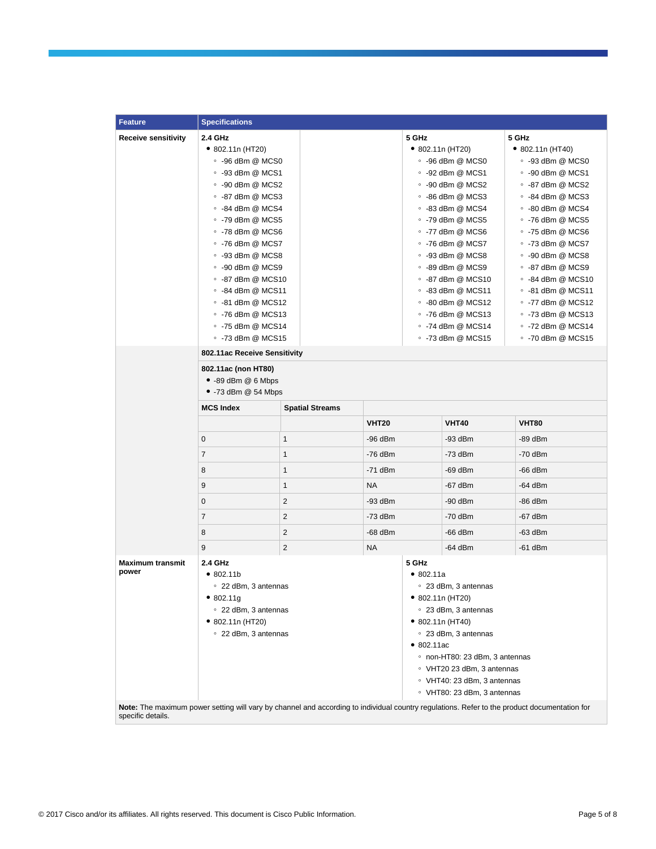| <b>Feature</b>             | <b>Specifications</b>                                |                         |              |                             |                                                |                                                                                                                                              |  |
|----------------------------|------------------------------------------------------|-------------------------|--------------|-----------------------------|------------------------------------------------|----------------------------------------------------------------------------------------------------------------------------------------------|--|
| <b>Receive sensitivity</b> | 2.4 GHz                                              |                         |              | 5 GHz                       |                                                | 5 GHz                                                                                                                                        |  |
|                            | $\bullet$ 802.11n (HT20)<br>$\degree$ -96 dBm @ MCS0 |                         |              |                             | $\bullet$ 802.11n (HT20)                       | $\bullet$ 802.11n (HT40)                                                                                                                     |  |
|                            |                                                      |                         |              | $\degree$ -96 dBm @ MCS0    |                                                | $\circ$ -93 dBm @ MCS0                                                                                                                       |  |
|                            | $\degree$ -93 dBm @ MCS1                             |                         |              |                             | $\degree$ -92 dBm @ MCS1                       | ∘ -90 dBm @ MCS1                                                                                                                             |  |
|                            | $\degree$ -90 dBm @ MCS2                             |                         |              |                             | $\degree$ -90 dBm @ MCS2                       | ∘ -87 dBm @ MCS2                                                                                                                             |  |
|                            | $\degree$ -87 dBm @ MCS3                             |                         |              |                             | $\degree$ -86 dBm @ MCS3                       | $\circ$ -84 dBm @ MCS3                                                                                                                       |  |
|                            | $\degree$ -84 dBm @ MCS4                             |                         |              |                             | $\circ$ -83 dBm @ MCS4                         | ∘ -80 dBm @ MCS4                                                                                                                             |  |
|                            | $\degree$ -79 dBm @ MCS5                             |                         |              |                             | $\degree$ -79 dBm @ MCS5                       | $\degree$ -76 dBm @ MCS5                                                                                                                     |  |
|                            | $\degree$ -78 dBm @ MCS6                             |                         |              |                             | $\degree$ -77 dBm @ MCS6                       | $\degree$ -75 dBm @ MCS6                                                                                                                     |  |
|                            | $\degree$ -76 dBm @ MCS7                             |                         |              |                             | $\degree$ -76 dBm @ MCS7                       | $\degree$ -73 dBm @ MCS7                                                                                                                     |  |
|                            | $\degree$ -93 dBm @ MCS8                             |                         |              |                             | $\degree$ -93 dBm @ MCS8                       | $\circ$ -90 dBm @ MCS8                                                                                                                       |  |
|                            | $\degree$ -90 dBm @ MCS9                             |                         |              |                             | $\degree$ -89 dBm @ MCS9                       | $\circ$ -87 dBm @ MCS9                                                                                                                       |  |
|                            | ∘ -87 dBm @ MCS10                                    |                         |              |                             | ∘ -87 dBm @ MCS10                              | ∘ -84 dBm @ MCS10                                                                                                                            |  |
|                            | $\degree$ -84 dBm @ MCS11                            |                         |              |                             | $\degree$ -83 dBm @ MCS11                      | $\degree$ -81 dBm @ MCS11                                                                                                                    |  |
|                            | $\degree$ -81 dBm @ MCS12                            |                         |              |                             | $\degree$ -80 dBm @ MCS12<br>∘ -76 dBm @ MCS13 | $\degree$ -77 dBm @ MCS12<br>∘ -73 dBm @ MCS13                                                                                               |  |
|                            | ∘ -76 dBm @ MCS13<br>$\degree$ -75 dBm @ MCS14       |                         |              |                             | $\degree$ -74 dBm @ MCS14                      | $\degree$ -72 dBm @ MCS14                                                                                                                    |  |
|                            | $\degree$ -73 dBm @ MCS15                            |                         |              |                             | $\degree$ -73 dBm @ MCS15                      | $\degree$ -70 dBm @ MCS15                                                                                                                    |  |
|                            | 802.11ac Receive Sensitivity                         |                         |              |                             |                                                |                                                                                                                                              |  |
|                            |                                                      |                         |              |                             |                                                |                                                                                                                                              |  |
|                            | 802.11ac (non HT80)<br>$\bullet$ -89 dBm @ 6 Mbps    |                         |              |                             |                                                |                                                                                                                                              |  |
|                            | $\bullet$ -73 dBm @ 54 Mbps                          |                         |              |                             |                                                |                                                                                                                                              |  |
|                            |                                                      |                         |              |                             |                                                |                                                                                                                                              |  |
|                            | <b>MCS Index</b>                                     | <b>Spatial Streams</b>  |              |                             |                                                |                                                                                                                                              |  |
|                            |                                                      |                         | <b>VHT20</b> |                             | <b>VHT40</b>                                   | <b>VHT80</b>                                                                                                                                 |  |
|                            | 0                                                    | 1                       | $-96$ dBm    |                             | $-93$ dBm                                      | -89 dBm                                                                                                                                      |  |
|                            | $\overline{7}$                                       | 1                       | $-76$ dBm    |                             | $-73$ dBm                                      | $-70$ dBm                                                                                                                                    |  |
|                            | 8                                                    | $\mathbf{1}$            | $-71$ dBm    |                             | $-69$ dBm                                      | $-66$ dBm                                                                                                                                    |  |
|                            | 9                                                    | 1                       | <b>NA</b>    |                             | $-67$ dBm                                      | $-64$ dBm                                                                                                                                    |  |
|                            | 0                                                    | 2                       | $-93$ dBm    |                             | $-90$ dBm                                      | $-86$ dBm                                                                                                                                    |  |
|                            | $\overline{7}$                                       | 2                       | -73 dBm      |                             | $-70$ dBm                                      | $-67$ dBm                                                                                                                                    |  |
|                            | 8                                                    | 2                       | $-68$ dBm    |                             | $-66$ dBm                                      | $-63$ dBm                                                                                                                                    |  |
|                            | 9                                                    | $\overline{\mathbf{c}}$ | <b>NA</b>    |                             | $-64$ dBm                                      | $-61$ dBm                                                                                                                                    |  |
| <b>Maximum transmit</b>    | 2.4 GHz                                              |                         |              | 5 GHz                       |                                                |                                                                                                                                              |  |
| power                      | •802.11 <sub>b</sub>                                 |                         |              | • 802.11a                   |                                                |                                                                                                                                              |  |
|                            | ○ 22 dBm, 3 antennas                                 |                         |              |                             | ∘ 23 dBm, 3 antennas                           |                                                                                                                                              |  |
|                            | •802.11g                                             |                         |              |                             | • 802.11n (HT20)                               |                                                                                                                                              |  |
|                            | ○ 22 dBm, 3 antennas                                 |                         |              |                             | ○ 23 dBm, 3 antennas                           |                                                                                                                                              |  |
|                            | $\bullet$ 802.11n (HT20)                             |                         |              |                             | • 802.11n (HT40)                               |                                                                                                                                              |  |
|                            | ○ 22 dBm, 3 antennas                                 |                         |              |                             | • 23 dBm, 3 antennas                           |                                                                                                                                              |  |
|                            |                                                      |                         |              | • 802.11ac                  |                                                |                                                                                                                                              |  |
|                            |                                                      |                         |              |                             | ∘ non-HT80: 23 dBm, 3 antennas                 |                                                                                                                                              |  |
|                            |                                                      |                         |              | • VHT20 23 dBm, 3 antennas  |                                                |                                                                                                                                              |  |
|                            |                                                      |                         |              | ○ VHT40: 23 dBm, 3 antennas |                                                |                                                                                                                                              |  |
|                            |                                                      |                         |              |                             | ○ VHT80: 23 dBm, 3 antennas                    |                                                                                                                                              |  |
| specific details.          |                                                      |                         |              |                             |                                                | Note: The maximum power setting will vary by channel and according to individual country regulations. Refer to the product documentation for |  |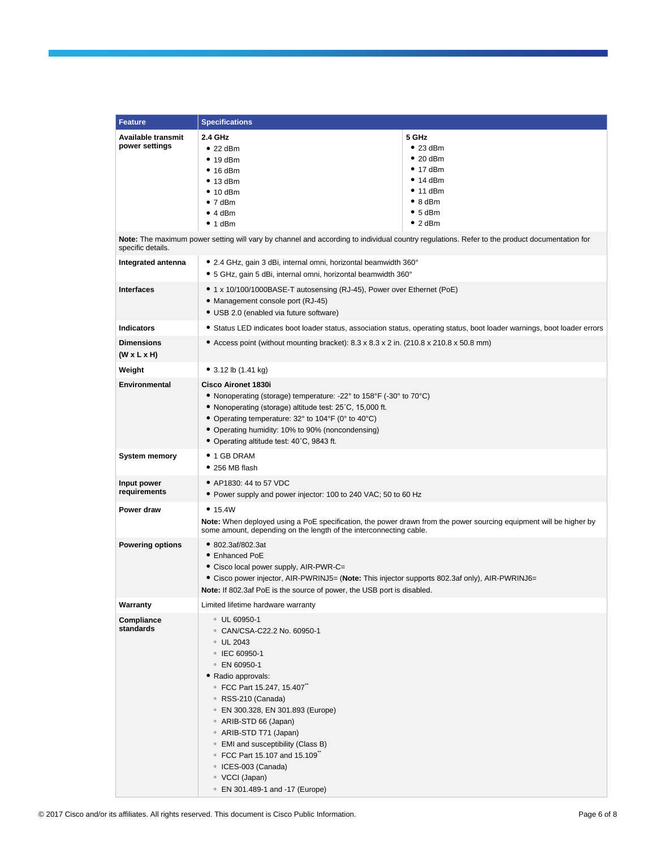| <b>Feature</b>                               | <b>Specifications</b>                                                                                                                                                                                                                                                                                                                                                                                        |                                                                                                                           |  |  |  |
|----------------------------------------------|--------------------------------------------------------------------------------------------------------------------------------------------------------------------------------------------------------------------------------------------------------------------------------------------------------------------------------------------------------------------------------------------------------------|---------------------------------------------------------------------------------------------------------------------------|--|--|--|
| Available transmit<br>power settings         | 2.4 GHz<br>$• 22$ dBm<br>$\bullet$ 19 dBm<br>$• 16$ dBm<br>• 13 dBm<br>$\bullet$ 10 dBm<br>• 7 dBm<br>• 4 dBm<br>$\bullet$ 1 dBm                                                                                                                                                                                                                                                                             | 5 GHz<br>$• 23$ dBm<br>$• 20$ dBm<br>$\bullet$ 17 dBm<br>• 14 dBm<br>• 11 dBm<br>$\bullet$ 8 dBm<br>• 5 dBm<br>• 2 dBm    |  |  |  |
| specific details.                            | Note: The maximum power setting will vary by channel and according to individual country regulations. Refer to the product documentation for                                                                                                                                                                                                                                                                 |                                                                                                                           |  |  |  |
| Integrated antenna                           | • 2.4 GHz, gain 3 dBi, internal omni, horizontal beamwidth 360°<br>• 5 GHz, gain 5 dBi, internal omni, horizontal beamwidth 360°                                                                                                                                                                                                                                                                             |                                                                                                                           |  |  |  |
| <b>Interfaces</b>                            | ● 1 x 10/100/1000BASE-T autosensing (RJ-45), Power over Ethernet (PoE)<br>• Management console port (RJ-45)<br>• USB 2.0 (enabled via future software)                                                                                                                                                                                                                                                       |                                                                                                                           |  |  |  |
| <b>Indicators</b>                            |                                                                                                                                                                                                                                                                                                                                                                                                              | • Status LED indicates boot loader status, association status, operating status, boot loader warnings, boot loader errors |  |  |  |
| <b>Dimensions</b><br>$(W \times L \times H)$ | • Access point (without mounting bracket): $8.3 \times 8.3 \times 2$ in. (210.8 $\times$ 210.8 $\times$ 50.8 mm)                                                                                                                                                                                                                                                                                             |                                                                                                                           |  |  |  |
| Weight                                       | $\bullet$ 3.12 lb (1.41 kg)                                                                                                                                                                                                                                                                                                                                                                                  |                                                                                                                           |  |  |  |
| <b>Environmental</b>                         | Cisco Aironet 1830i<br>• Nonoperating (storage) temperature: -22° to 158°F (-30° to 70°C)<br>• Nonoperating (storage) altitude test: 25°C, 15,000 ft.<br>• Operating temperature: 32° to 104°F (0° to 40°C)<br>• Operating humidity: 10% to 90% (noncondensing)<br>• Operating altitude test: 40°C, 9843 ft.                                                                                                 |                                                                                                                           |  |  |  |
| <b>System memory</b>                         | $\bullet$ 1 GB DRAM<br>$\bullet$ 256 MB flash                                                                                                                                                                                                                                                                                                                                                                |                                                                                                                           |  |  |  |
| Input power<br>requirements                  | • AP1830: 44 to 57 VDC<br>• Power supply and power injector: 100 to 240 VAC; 50 to 60 Hz                                                                                                                                                                                                                                                                                                                     |                                                                                                                           |  |  |  |
| Power draw                                   | • 15.4W<br>Note: When deployed using a PoE specification, the power drawn from the power sourcing equipment will be higher by<br>some amount, depending on the length of the interconnecting cable.                                                                                                                                                                                                          |                                                                                                                           |  |  |  |
| <b>Powering options</b>                      | • 802.3af/802.3at<br>• Enhanced PoE<br>• Cisco local power supply, AIR-PWR-C=<br>• Cisco power injector, AIR-PWRINJ5= (Note: This injector supports 802.3af only), AIR-PWRINJ6=<br>Note: If 802.3af PoE is the source of power, the USB port is disabled.                                                                                                                                                    |                                                                                                                           |  |  |  |
| Warranty                                     | Limited lifetime hardware warranty                                                                                                                                                                                                                                                                                                                                                                           |                                                                                                                           |  |  |  |
| Compliance<br>standards                      | ○ UL 60950-1<br>© CAN/CSA-C22.2 No. 60950-1<br>∘ UL 2043<br>○ IEC 60950-1<br>∘ EN 60950-1<br>· Radio approvals:<br>© FCC Part 15.247, 15.407<br>∘ RSS-210 (Canada)<br>© EN 300.328, EN 301.893 (Europe)<br>◦ ARIB-STD 66 (Japan)<br>○ ARIB-STD T71 (Japan)<br>• EMI and susceptibility (Class B)<br>∘ FCC Part 15.107 and 15.109<br>○ ICES-003 (Canada)<br>○ VCCI (Japan)<br>© EN 301.489-1 and -17 (Europe) |                                                                                                                           |  |  |  |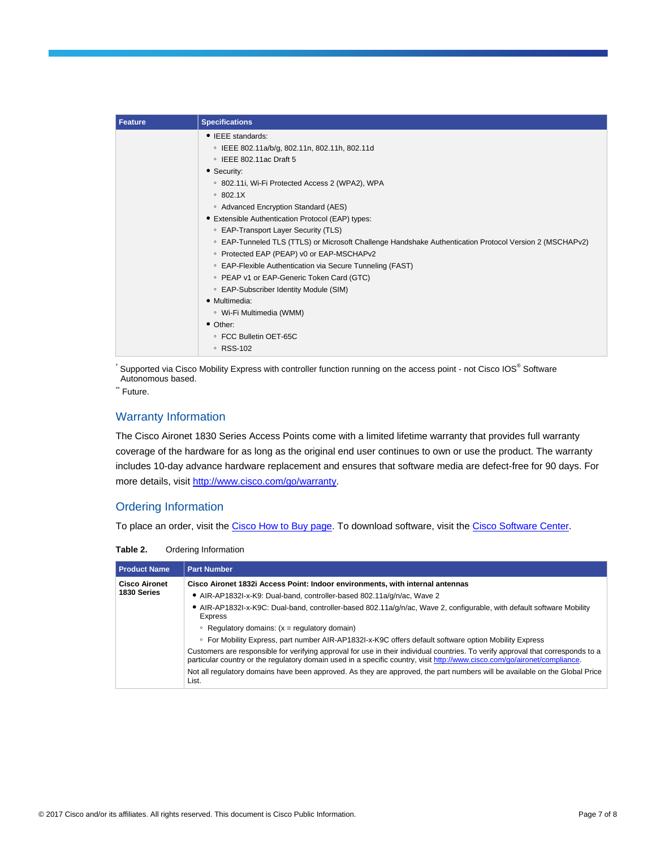| <b>Feature</b> | <b>Specifications</b>                                                                                   |
|----------------|---------------------------------------------------------------------------------------------------------|
|                | • IEEE standards:                                                                                       |
|                | © IEEE 802.11a/b/g, 802.11n, 802.11h, 802.11d                                                           |
|                | $\circ$ IEEE 802.11ac Draft 5                                                                           |
|                | • Security:                                                                                             |
|                | ○ 802.11i, Wi-Fi Protected Access 2 (WPA2), WPA                                                         |
|                | $\circ$ 802.1X                                                                                          |
|                | • Advanced Encryption Standard (AES)                                                                    |
|                | • Extensible Authentication Protocol (EAP) types:                                                       |
|                | ○ EAP-Transport Layer Security (TLS)                                                                    |
|                | ○ EAP-Tunneled TLS (TTLS) or Microsoft Challenge Handshake Authentication Protocol Version 2 (MSCHAPv2) |
|                | ○ Protected EAP (PEAP) v0 or EAP-MSCHAPv2                                                               |
|                | ○ EAP-Flexible Authentication via Secure Tunneling (FAST)                                               |
|                | • PEAP v1 or EAP-Generic Token Card (GTC)                                                               |
|                | ○ EAP-Subscriber Identity Module (SIM)                                                                  |
|                | · Multimedia:                                                                                           |
|                | ∘ Wi-Fi Multimedia (WMM)                                                                                |
|                | • Other:                                                                                                |
|                | ○ FCC Bulletin OET-65C                                                                                  |
|                | ∘ RSS-102                                                                                               |

 $\check{ }$  Supported via Cisco Mobility Express with controller function running on the access point - not Cisco IOS® Software Autonomous based.

\*\* Future.

#### Warranty Information

The Cisco Aironet 1830 Series Access Points come with a limited lifetime warranty that provides full warranty coverage of the hardware for as long as the original end user continues to own or use the product. The warranty includes 10-day advance hardware replacement and ensures that software media are defect-free for 90 days. For more details, visit [http://www.cisco.com/go/warranty.](http://www.cisco.com/go/warranty)

#### Ordering Information

To place an order, visit th[e Cisco How to Buy page.](http://www.cisco.com/en/US/ordering/index.shtml) To download software, visit the [Cisco Software Center.](http://www.cisco.com/public/sw-center/index.shtml)

**Table 2.** Ordering Information

| <b>Product Name</b>  | <b>Part Number</b>                                                                                                                                                                                                                                            |
|----------------------|---------------------------------------------------------------------------------------------------------------------------------------------------------------------------------------------------------------------------------------------------------------|
| <b>Cisco Aironet</b> | Cisco Aironet 1832 Access Point: Indoor environments, with internal antennas                                                                                                                                                                                  |
| 1830 Series          | • AIR-AP1832I-x-K9: Dual-band, controller-based 802.11a/g/n/ac, Wave 2                                                                                                                                                                                        |
|                      | • AIR-AP1832I-x-K9C: Dual-band, controller-based 802.11a/g/n/ac, Wave 2, configurable, with default software Mobility<br>Express                                                                                                                              |
|                      | • Regulatory domains: $(x = \text{regularity domain})$                                                                                                                                                                                                        |
|                      | • For Mobility Express, part number AIR-AP1832I-x-K9C offers default software option Mobility Express                                                                                                                                                         |
|                      | Customers are responsible for verifying approval for use in their individual countries. To verify approval that corresponds to a<br>particular country or the regulatory domain used in a specific country, visit http://www.cisco.com/go/aironet/compliance. |
|                      | Not all regulatory domains have been approved. As they are approved, the part numbers will be available on the Global Price<br>List.                                                                                                                          |